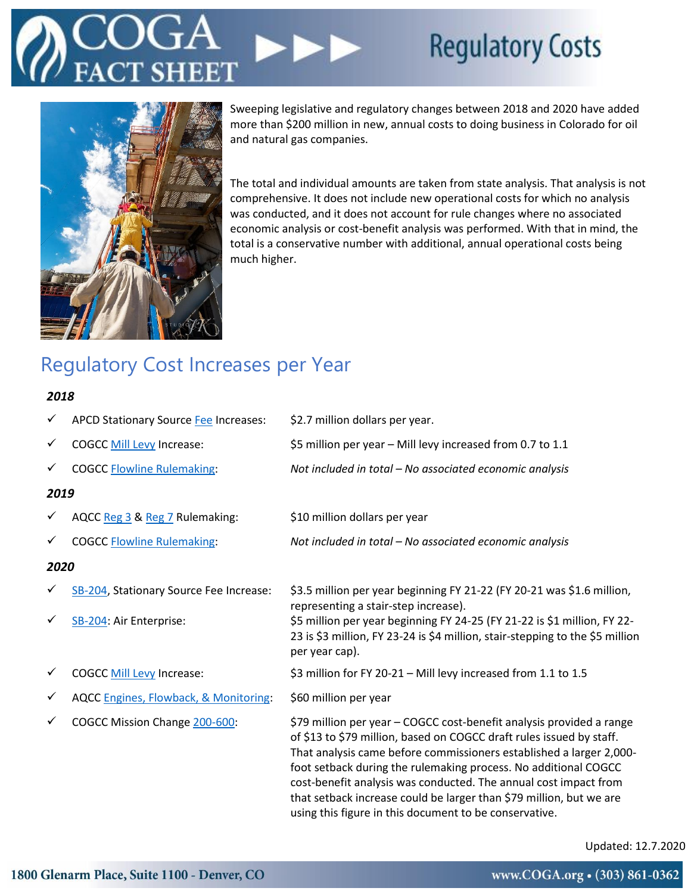# **Regulatory Costs**



Sweeping legislative and regulatory changes between 2018 and 2020 have added more than \$200 million in new, annual costs to doing business in Colorado for oil and natural gas companies.

The total and individual amounts are taken from state analysis. That analysis is not comprehensive. It does not include new operational costs for which no analysis was conducted, and it does not account for rule changes where no associated economic analysis or cost-benefit analysis was performed. With that in mind, the total is a conservative number with additional, annual operational costs being much higher.

## Regulatory Cost Increases per Year

### *2018*

| ✓            | <b>APCD Stationary Source Fee Increases:</b>     | \$2.7 million dollars per year.                                                                                                                                                                                                                                                                                                                                                                                                                                                             |
|--------------|--------------------------------------------------|---------------------------------------------------------------------------------------------------------------------------------------------------------------------------------------------------------------------------------------------------------------------------------------------------------------------------------------------------------------------------------------------------------------------------------------------------------------------------------------------|
| $\checkmark$ | <b>COGCC Mill Levy Increase:</b>                 | \$5 million per year – Mill levy increased from 0.7 to 1.1                                                                                                                                                                                                                                                                                                                                                                                                                                  |
| v            | <b>COGCC Flowline Rulemaking:</b>                | Not included in total - No associated economic analysis                                                                                                                                                                                                                                                                                                                                                                                                                                     |
| 2019         |                                                  |                                                                                                                                                                                                                                                                                                                                                                                                                                                                                             |
|              | AQCC Reg 3 & Reg 7 Rulemaking:                   | \$10 million dollars per year                                                                                                                                                                                                                                                                                                                                                                                                                                                               |
| ✓            | <b>COGCC Flowline Rulemaking:</b>                | Not included in total - No associated economic analysis                                                                                                                                                                                                                                                                                                                                                                                                                                     |
| 2020         |                                                  |                                                                                                                                                                                                                                                                                                                                                                                                                                                                                             |
|              | SB-204, Stationary Source Fee Increase:          | \$3.5 million per year beginning FY 21-22 (FY 20-21 was \$1.6 million,<br>representing a stair-step increase).                                                                                                                                                                                                                                                                                                                                                                              |
| v            | SB-204: Air Enterprise:                          | \$5 million per year beginning FY 24-25 (FY 21-22 is \$1 million, FY 22-<br>23 is \$3 million, FY 23-24 is \$4 million, stair-stepping to the \$5 million<br>per year cap).                                                                                                                                                                                                                                                                                                                 |
|              | <b>COGCC Mill Levy Increase:</b>                 | \$3 million for FY 20-21 - Mill levy increased from 1.1 to 1.5                                                                                                                                                                                                                                                                                                                                                                                                                              |
| v            | <b>AQCC Engines, Flowback, &amp; Monitoring:</b> | \$60 million per year                                                                                                                                                                                                                                                                                                                                                                                                                                                                       |
| ✓            | COGCC Mission Change 200-600:                    | \$79 million per year - COGCC cost-benefit analysis provided a range<br>of \$13 to \$79 million, based on COGCC draft rules issued by staff.<br>That analysis came before commissioners established a larger 2,000-<br>foot setback during the rulemaking process. No additional COGCC<br>cost-benefit analysis was conducted. The annual cost impact from<br>that setback increase could be larger than \$79 million, but we are<br>using this figure in this document to be conservative. |

Updated: 12.7.2020